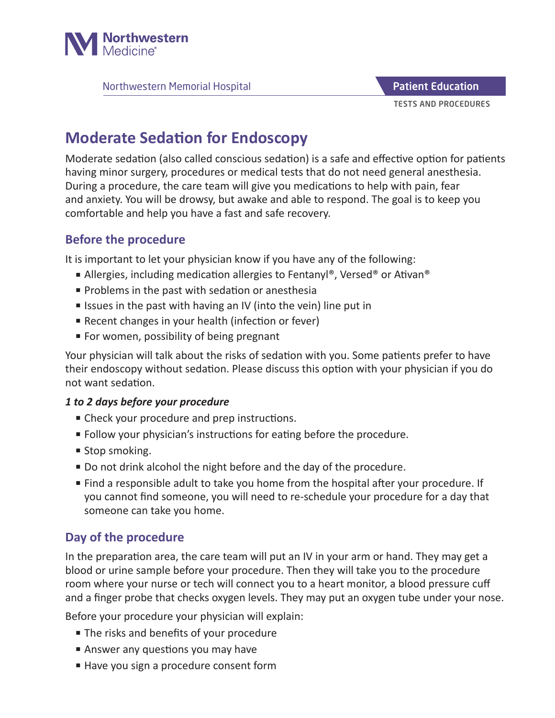

Northwestern Memorial Hospital

# **Moderate Sedation for Endoscopy**

Moderate sedation (also called conscious sedation) is a safe and effective option for patients having minor surgery, procedures or medical tests that do not need general anesthesia. During a procedure, the care team will give you medications to help with pain, fear and anxiety. You will be drowsy, but awake and able to respond. The goal is to keep you comfortable and help you have a fast and safe recovery.

#### **Before the procedure**

It is important to let your physician know if you have any of the following:

- Allergies, including medication allergies to Fentanyl®, Versed® or Ativan®
- Problems in the past with sedation or anesthesia
- Issues in the past with having an IV (into the vein) line put in
- Recent changes in your health (infection or fever)
- For women, possibility of being pregnant

Your physician will talk about the risks of sedation with you. Some patients prefer to have their endoscopy without sedation. Please discuss this option with your physician if you do not want sedation.

#### *1 to 2 days before your procedure*

- Check your procedure and prep instructions.
- Follow your physician's instructions for eating before the procedure.
- Stop smoking.
- Do not drink alcohol the night before and the day of the procedure.
- Find a responsible adult to take you home from the hospital after your procedure. If you cannot find someone, you will need to re-schedule your procedure for a day that someone can take you home.

### **Day of the procedure**

In the preparation area, the care team will put an IV in your arm or hand. They may get a blood or urine sample before your procedure. Then they will take you to the procedure room where your nurse or tech will connect you to a heart monitor, a blood pressure cuff and a finger probe that checks oxygen levels. They may put an oxygen tube under your nose.

Before your procedure your physician will explain:

- The risks and benefits of your procedure
- Answer any questions you may have
- Have you sign a procedure consent form